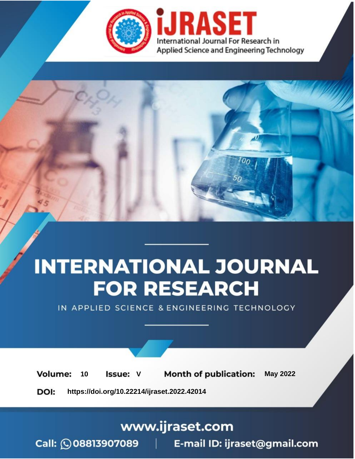

# **INTERNATIONAL JOURNAL FOR RESEARCH**

IN APPLIED SCIENCE & ENGINEERING TECHNOLOGY

Volume: **Month of publication: May 2022** 10 **Issue: V** 

DOI: https://doi.org/10.22214/ijraset.2022.42014

www.ijraset.com

Call: 008813907089 | E-mail ID: ijraset@gmail.com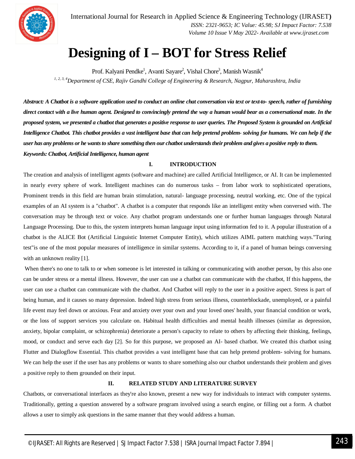

International Journal for Research in Applied Science & Engineering Technology (IJRASET**)**  *ISSN: 2321-9653; IC Value: 45.98; SJ Impact Factor: 7.538 Volume 10 Issue V May 2022- Available at www.ijraset.com*

# **Designing of I – BOT for Stress Relief**

Prof. Kalyani Pendke<sup>1</sup>, Avanti Sayare<sup>2</sup>, Vishal Chore<sup>3</sup>, Manish Wasnik<sup>4</sup> *1, 2, 3, 4Department of CSE, Rajiv Gandhi College of Engineering & Research, Nagpur, Maharashtra, India*

*Abstract: A Chatbot is a software application used to conduct an online chat conversation via text or text-to- speech, rather of furnishing direct contact with a live human agent. Designed to convincingly pretend the way a human would bear as a conversational mate. In the proposed system, we presented a chatbot that generates a positive response to user queries. The Proposed System is grounded on Artificial Intelligence Chatbot. This chatbot provides a vast intelligent base that can help pretend problem- solving for humans. We can help if the user has any problems or he wants to share something then our chatbot understands their problem and gives a positive reply to them. Keywords: Chatbot, Artificial Intelligence, human agent*

# **I. INTRODUCTION**

The creation and analysis of intelligent agents (software and machine) are called Artificial Intelligence, or AI. It can be implemented in nearly every sphere of work. Intelligent machines can do numerous tasks – from labor work to sophisticated operations, Prominent trends in this field are human brain stimulation, natural- language processing, neutral working, etc. One of the typical examples of an AI system is a "chatbot". A chatbot is a computer that responds like an intelligent entity when conversed with. The conversation may be through text or voice. Any chatbot program understands one or further human languages through Natural Language Processing. Due to this, the system interprets human language input using information fed to it. A popular illustration of a chatbot is the ALICE Bot (Artificial Linguistic Internet Computer Entity), which utilizes AIML pattern matching ways."Turing test"is one of the most popular measures of intelligence in similar systems. According to it, if a panel of human beings conversing with an unknown reality [1].

When there's no one to talk to or when someone is let interested in talking or communicating with another person, by this also one can be under stress or a mental illness. However, the user can use a chatbot can communicate with the chatbot, If this happens, the user can use a chatbot can communicate with the chatbot. And Chatbot will reply to the user in a positive aspect. Stress is part of being human, and it causes so many depression. Indeed high stress from serious illness, counterblockade, unemployed, or a painful life event may feel down or anxious. Fear and anxiety over your own and your loved ones' health, your financial condition or work, or the loss of support services you calculate on. Habitual health difficulties and mental health illnesses (similar as depression, anxiety, bipolar complaint, or schizophrenia) deteriorate a person's capacity to relate to others by affecting their thinking, feelings, mood, or conduct and serve each day [2]. So for this purpose, we proposed an AI- based chatbot. We created this chatbot using Flutter and Dialogflow Essential. This chatbot provides a vast intelligent base that can help pretend problem- solving for humans. We can help the user if the user has any problems or wants to share something also our chatbot understands their problem and gives a positive reply to them grounded on their input.

# **II. RELATED STUDY AND LITERATURE SURVEY**

Chatbots, or conversational interfaces as they're also known, present a new way for individuals to interact with computer systems. Traditionally, getting a question answered by a software program involved using a search engine, or filling out a form. A chatbot allows a user to simply ask questions in the same manner that they would address a human.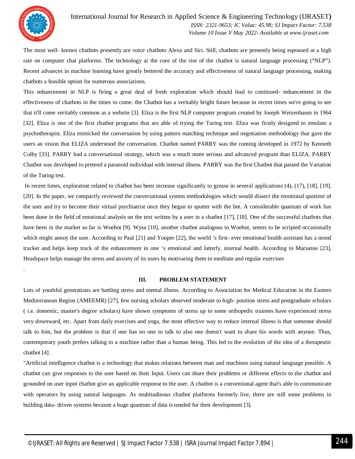

.

The most well- known chatbots presently are voice chatbots Alexa and Siri. Still, chatbots are presently being espoused at a high rate on computer chat platforms. The technology at the core of the rise of the chatbot is natural language processing ("NLP"). Recent advances in machine learning have greatly bettered the accuracy and effectiveness of natural language processing, making chatbots a feasible option for numerous associations.

This enhancement in NLP is firing a great deal of fresh exploration which should lead to continued- enhancement in the effectiveness of chatbots in the times to come. the Chatbot has a veritably bright future because in recent times we're going to see that it'll come veritably common as a website [3]. Eliza is the first NLP computer program created by Joseph Weizenbaum in 1964 [32]. Eliza is one of the first chatbot programs that are able of trying the Turing test. Eliza was firstly designed to emulate a psychotherapist. Eliza mimicked the conversation by using pattern matching technique and negotiation methodology that gave the users an vision that ELIZA understood the conversation. Chatbot named PARRY was the coming developed in 1972 by Kenneth Colby [33]. PARRY had a conversational strategy, which was a much more serious and advanced program than ELIZA. PARRY Chatbot was developed to pretend a paranoid individual with internal illness. PARRY was the first Chatbot that passed the Variation of the Turing test.

In recent times, exploration related to chatbot has been increase significantly to grease in several applications (4), (17), [18], [19], [20]. In the paper, we compactly reviewed the conversational system methodologies which would dissect the emotional quotient of the user and try to become their virtual psychiatrist once they began to sputter with the bot. A considerable quantum of work has been done in the field of emotional analysis on the text written by a user in a chatbot [17], [18]. One of the successful chatbots that have been in the market so far is Woebot [9]. Wysa [10], another chatbot analogous to Woebot, seems to be scripted occasionally which might annoy the user. According to Paul [21] and Youper [22], the world 's first- ever emotional health assistant has a mood tracker and helps keep track of the enhancement in one 's emotional and latterly, internal health. According to Marianne [23], Headspace helps manage the stress and anxiety of its users by motivating them to meditate and regular exercises

### **III. PROBLEM STATEMENT**

Lots of youthful generations are battling stress and mental illness. According to Association for Medical Education in the Eastern Mediterranean Region (AMEEMR) [27], few nursing scholars observed moderate to high- position stress and postgraduate scholars ( i.e. domestic, master's degree scholars) have shown symptoms of stress up to some orthopedic trainees have experienced stress very downward, etc. Apart from daily exercises and yoga, the most effective way to reduce internal illness is that someone should talk to him, but the problem is that if one has no one to talk to also one doesn't want to share his words with anyone. Thus, contemporary youth prefers talking to a machine rather than a human being. This led to the evolution of the idea of a therapeutic chatbot [4].

"Artificial intelligence chatbot is a technology that makes relations between man and machines using natural language possible. A chatbot can give responses to the user based on their Input. Users can share their problems or different effects to the chatbot and grounded on user input chatbot give an applicable response to the user. A chatbot is a conventional agent that's able to communicate with operators by using natural languages. As multitudinous chatbot platforms formerly live, there are still some problems in building data- driven systems because a huge quantum of data is needed for their development [3].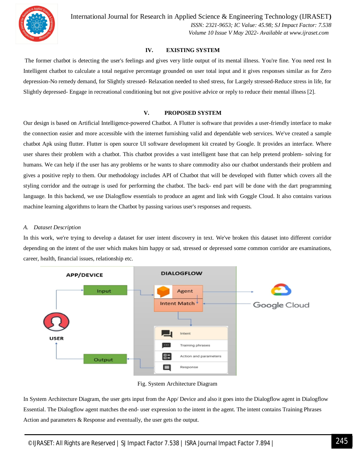

International Journal for Research in Applied Science & Engineering Technology (IJRASET**)**  *ISSN: 2321-9653; IC Value: 45.98; SJ Impact Factor: 7.538 Volume 10 Issue V May 2022- Available at www.ijraset.com*

# **IV. EXISTING SYSTEM**

The former chatbot is detecting the user's feelings and gives very little output of its mental illness. You're fine. You need rest In Intelligent chatbot to calculate a total negative percentage grounded on user total input and it gives responses similar as for Zero depression-No remedy demand, for Slightly stressed- Relaxation needed to shed stress, for Largely stressed-Reduce stress in life, for Slightly depressed- Engage in recreational conditioning but not give positive advice or reply to reduce their mental illness [2].

# **V. PROPOSED SYSTEM**

Our design is based on Artificial Intelligence-powered Chatbot. A Flutter is software that provides a user-friendly interface to make the connection easier and more accessible with the internet furnishing valid and dependable web services. We've created a sample chatbot Apk using flutter. Flutter is open source UI software development kit created by Google. It provides an interface. Where user shares their problem with a chatbot. This chatbot provides a vast intelligent base that can help pretend problem- solving for humans. We can help if the user has any problems or he wants to share commodity also our chatbot understands their problem and gives a positive reply to them. Our methodology includes API of Chatbot that will be developed with flutter which covers all the styling corridor and the outrage is used for performing the chatbot. The back- end part will be done with the dart programming language. In this backend, we use Dialogflow essentials to produce an agent and link with Goggle Cloud. It also contains various machine learning algorithms to learn the Chatbot by passing various user's responses and requests.

# *A. Dataset Description*

In this work, we're trying to develop a dataset for user intent discovery in text. We've broken this dataset into different corridor depending on the intent of the user which makes him happy or sad, stressed or depressed some common corridor are examinations, career, health, financial issues, relationship etc.



Fig. System Architecture Diagram

In System Architecture Diagram, the user gets input from the App/ Device and also it goes into the Dialogflow agent in Dialogflow Essential. The Dialogflow agent matches the end- user expression to the intent in the agent. The intent contains Training Phrases Action and parameters & Response and eventually, the user gets the output.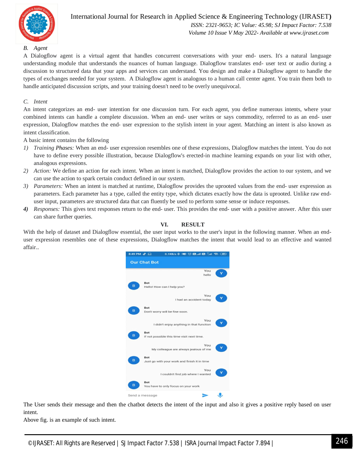

# International Journal for Research in Applied Science & Engineering Technology (IJRASET**)**  *ISSN: 2321-9653; IC Value: 45.98; SJ Impact Factor: 7.538 Volume 10 Issue V May 2022- Available at www.ijraset.com*

# *B. Agent*

A Dialogflow agent is a virtual agent that handles concurrent conversations with your end- users. It's a natural language understanding module that understands the nuances of human language. Dialogflow translates end- user text or audio during a discussion to structured data that your apps and services can understand. You design and make a Dialogflow agent to handle the types of exchanges needed for your system. A Dialogflow agent is analogous to a human call center agent. You train them both to handle anticipated discussion scripts, and your training doesn't need to be overly unequivocal.

## *C. Intent*

An intent categorizes an end- user intention for one discussion turn. For each agent, you define numerous intents, where your combined intents can handle a complete discussion. When an end- user writes or says commodity, referred to as an end- user expression, Dialogflow matches the end- user expression to the stylish intent in your agent. Matching an intent is also known as intent classification.

A basic intent contains the following

- *1) Training Phases:* When an end- user expression resembles one of these expressions, Dialogflow matches the intent. You do not have to define every possible illustration, because Dialogflow's erected-in machine learning expands on your list with other, analogous expressions.
- *2) Action:* We define an action for each intent. When an intent is matched, Dialogflow provides the action to our system, and we can use the action to spark certain conduct defined in our system.
- *3) Parameters:* When an intent is matched at runtime, Dialogflow provides the uprooted values from the end- user expression as parameters. Each parameter has a type, called the entity type, which dictates exactly how the data is uprooted. Unlike raw enduser input, parameters are structured data that can fluently be used to perform some sense or induce responses.
- *4) Responses:* This gives text responses return to the end- user. This provides the end- user with a positive answer. After this user can share further queries.

# **VI. RESULT**

With the help of dataset and Dialogflow essential, the user input works to the user's input in the following manner. When an enduser expression resembles one of these expressions, Dialogflow matches the intent that would lead to an effective and wanted affair..



The User sends their message and then the chatbot detects the intent of the input and also it gives a positive reply based on user intent.

Above fig. is an example of such intent.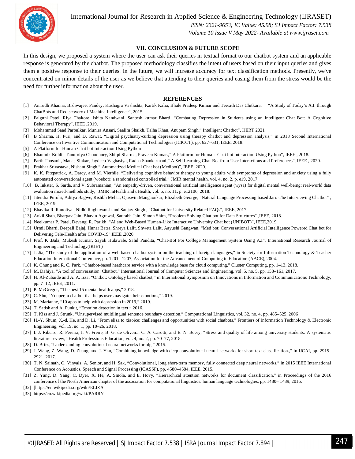

International Journal for Research in Applied Science & Engineering Technology (IJRASET**)**

 *ISSN: 2321-9653; IC Value: 45.98; SJ Impact Factor: 7.538 Volume 10 Issue V May 2022- Available at www.ijraset.com*

## **VII. CONCLUSION & FUTURE SCOPE**

In this design, we proposed a system where the user can ask their queries in textual format to our chatbot system and an applicable response is generated by the chatbot. The proposed methodology classifies the intent of users based on their input queries and gives them a positive response to their queries. In the future, we will increase accuracy for text classification methods. Presently, we've concentrated on minor details of the user as we believe that attending to their queries and easing them from the stress would be the need for further information about the user.

### **REFERENCES**

- [1] Anirudh Khanna, Bishwajeet Pandey, Kushagra Vashishta, Kartik Kalia, Bhale Pradeep Kumar and Teerath Das Chitkara, "A Study of Today's A.I. through ChatBots and Rediscovery of Machine Intelligence", 2015
- [2] Falguni Patel, Riya Thakore, Ishita Nandwani, Santosh kumar Bharti, "Combating Depression in Students using an Intelligent Chat Bot: A Cognitive Behavioral Therapy", IEEE ,2019.
- [3] Mohammed Saad Parbulkar, Munira Ansari, Saalim Shaikh, Talha Khan, Anupam Singh," Intelligent Chatbot", IJERT 2021
- [4] B Sharma, H. Puri, and D. Rawat, "Digital psychiatry-curbing depression using therapy chatbot and depression analysis," in 2018 Second International Conference on Inventive Communication and Computational Technologies (ICICCT), pp. 627–631, IEEE, 2018.
- [5] A Platform for Human-Chat bot Interaction Using Python
- [6] Bhaumik Kohli , Tanupriya Choudhury, Shilpi Sharma, Praveen Kumar.," A Platform for Human- Chat bot Interaction Using Python", IEEE , 2018.
- [7] Parth Thosani , Manas Sinkar, Jaydeep Vaghasiya, Radha Shankarmani," A Self Learning Chat-Bot from User Interactions and Preferences", IEEE , 2020.
- [8] Prakhar Srivastava, Nishant Singh," Automatized Medical Chat bot (Medibot)", IEEE, 2020.
- [9] K. K. Fitzpatrick, A. Darcy, and M. Vierhile, "Delivering cognitive behavior therapy to young adults with symptoms of depression and anxiety using a fully automated conversational agent (woebot): a randomized controlled trial," JMIR mental health, vol. 4, no. 2, p. e19, 2017.
- [10] B. Inkster, S. Sarda, and V. Subramanian, "An empathy-driven, conversational artificial intelligence agent (wysa) for digital mental well-being: real-world data evaluation mixed-methods study," JMIR mHealth and uHealth, vol. 6, no. 11, p. e12106, 2018.
- [11] Jitendra Purohi, Aditya Bagwe, Rishbh Mehta, OjaswiniMangaonkar, Elizabeth George, "Natural Language Processing based Jaro-The Interviewing Chatbot" , IEEE, 2019.
- [12] Bhavika R. Ranoliya , Nidhi Raghuwansh and Sanjay Singh , "Chatbot for University Related FAQs", IEEE, 2017.
- [13] Ankil Shah, Bhargav Jain, Bhavin Agrawal, Saurabh Jain, Simon Shim, "Problem Solving Chat bot for Data Structures" ,IEEE, 2018.
- [14] Neelkumar P. Patel, Devangi R. Parikh, "AI and Web-Based Human-Like Interactive University Chat bot (UNIBOT)", IEEE,2019.
- [15] Urmil Bharti, Deepali Bajaj, Hunar Batra, Shreya Lalit, Shweta Lalit, Aayushi Gangwan, "Med bot: Conversational Artificial Intelligence Powered Chat bot for Delivering Tele-Health after COVID-19",IEEE ,2020.
- [16] Prof. K .Bala, Mukesh Kumar, Sayali Hulawale, Sahil Pandita, "Chat-Bot For College Management System Using A.I", International Research Journal of Engineering and Technology(IRJET)
- [17] J. Jia, "The study of the application of a web-based chatbot system on the teaching of foreign languages," in Society for Information Technology & Teacher Education International Conference, pp. 1201– 1207, Association for the Advancement of Computing in Education (AACE), 2004.
- [18] K. Chung and R. C. Park, "Chatbot-based heathcare service with a knowledge base for cloud computing," Cluster Computing, pp. 1–13, 2018.
- [19] M. Dahiya, "A tool of conversation: Chatbot," International Journal of Computer Sciences and Engineering, vol. 5, no. 5, pp. 158–161, 2017.
- [20] H. Al-Zubaide and A. A. Issa, "Ontbot: Ontology based chatbot," in International Symposium on Innovations in Information and Communications Technology, pp. 7–12, IEEE, 2011.
- [21] P. McGregor, "The best 15 mental health apps," 2018.
- [22] C. Shu, "Youper, a chatbot that helps users navigate their emotions," 2019.
- [23] M. Marianne, "10 apps to help with depression in 2019," 2019.
- [24] T. Satish and A. Punkit, "Emotion detection in text," 2016.
- [25] T. Kiss and J. Strunk, "Unsupervised multilingual sentence boundary detection," Computational Linguistics, vol. 32, no. 4, pp. 485–525, 2006
- [26] H.-Y. Shum, X.-d. He, and D. Li, "From eliza to xiaoice: challenges and opportunities with social chatbots," Frontiers of Information Technology & Electronic Engineering, vol. 19, no. 1, pp. 10–26, 2018.
- [27] I. J. Ribeiro, R. Pereira, I. V. Freire, B. G. de Oliveira, C. A. Casotti, and E. N. Boery, "Stress and quality of life among university students: A systematic literature review," Health Professions Education, vol. 4, no. 2, pp. 70–77, 2018.
- [28] D. Britz, "Understanding convolutional neural networks for nlp," 2015.
- [29] J. Wang, Z. Wang, D. Zhang, and J. Yan, "Combining knowledge with deep convolutional neural networks for short text classification.," in IJCAI, pp. 2915– 2921, 2017.
- [30] T. N. Sainath, O. Vinyals, A. Senior, and H. Sak, "Convolutional, long short-term memory, fully connected deep neural networks," in 2015 IEEE International Conference on Acoustics, Speech and Signal Processing (ICASSP), pp. 4580–4584, IEEE, 2015.
- [31] Z. Yang, D. Yang, C. Dyer, X. He, A. Smola, and E. Hovy, "Hierarchical attention networks for document classification," in Proceedings of the 2016 conference of the North American chapter of the association for computational linguistics: human language technologies, pp. 1480– 1489, 2016.
- [32] [https://en.wikipedia.org/wiki/ELIZA
- [33] https://en.wikipedia.org/wiki/PARRY